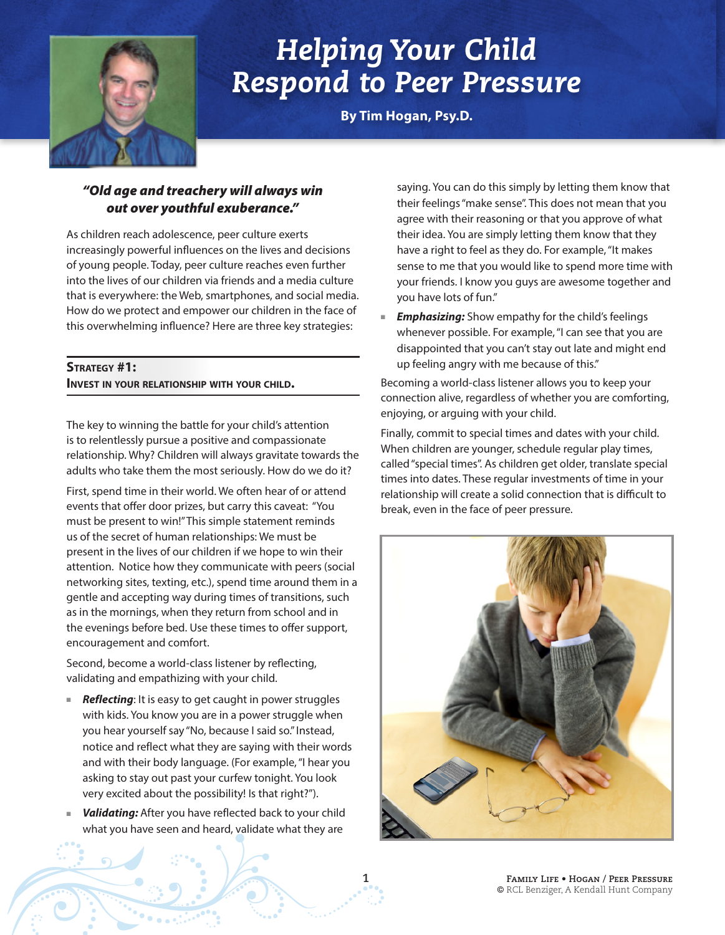

# *Helping Your Child Respond to Peer Pressure*

**By Tim Hogan, Psy.D.**

## *"Old age and treachery will always win out over youthful exuberance."*

As children reach adolescence, peer culture exerts increasingly powerful influences on the lives and decisions of young people. Today, peer culture reaches even further into the lives of our children via friends and a media culture that is everywhere: the Web, smartphones, and social media. How do we protect and empower our children in the face of this overwhelming influence? Here are three key strategies:

## **Strategy #1: Invest in your relationship with your child.**

The key to winning the battle for your child's attention is to relentlessly pursue a positive and compassionate relationship. Why? Children will always gravitate towards the adults who take them the most seriously. How do we do it?

First, spend time in their world. We often hear of or attend events that offer door prizes, but carry this caveat: "You must be present to win!" This simple statement reminds us of the secret of human relationships: We must be present in the lives of our children if we hope to win their attention. Notice how they communicate with peers (social networking sites, texting, etc.), spend time around them in a gentle and accepting way during times of transitions, such as in the mornings, when they return from school and in the evenings before bed. Use these times to offer support, encouragement and comfort.

Second, become a world-class listener by reflecting, validating and empathizing with your child.

- **Reflecting**: It is easy to get caught in power struggles with kids. You know you are in a power struggle when you hear yourself say "No, because I said so." Instead, notice and reflect what they are saying with their words and with their body language. (For example, "I hear you asking to stay out past your curfew tonight. You look very excited about the possibility! Is that right?").
- **Validating:** After you have reflected back to your child what you have seen and heard, validate what they are

**1**

saying. You can do this simply by letting them know that their feelings "make sense". This does not mean that you agree with their reasoning or that you approve of what their idea. You are simply letting them know that they have a right to feel as they do. For example, "It makes sense to me that you would like to spend more time with your friends. I know you guys are awesome together and you have lots of fun."

**Emphasizing:** Show empathy for the child's feelings whenever possible. For example, "I can see that you are disappointed that you can't stay out late and might end up feeling angry with me because of this."

Becoming a world-class listener allows you to keep your connection alive, regardless of whether you are comforting, enjoying, or arguing with your child.

Finally, commit to special times and dates with your child. When children are younger, schedule regular play times, called "special times". As children get older, translate special times into dates. These regular investments of time in your relationship will create a solid connection that is difficult to break, even in the face of peer pressure.